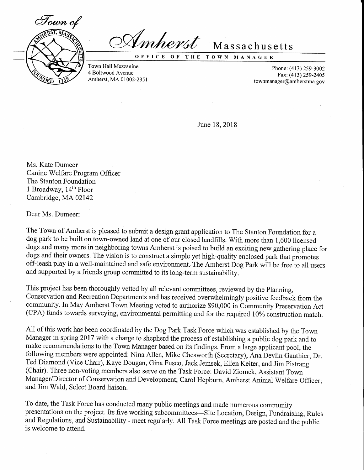

mherst

OFFICE OF THE TOWN MANAGER

Massachusetts

Town Hall Mezzanine 4 Boltwood Avenue Amherst, MA 0100?-2351

Phone: (413) 259-3002 Fax: (413) 259-2405 town manager  $@$  amberstma.gov

June 18,2018

Ms. Kate Dumeer Canine Welfare Program Officer The Stanton Foundation 1 Broadway,  $14<sup>th</sup>$  Floor Cambridge, MA02142

Dear Ms. Dumeer:

The Town of Amherst is pleased to submit a design grant application to The Stanton Foundation for a dog park to be built on town-owned land at one of our closed landfills. With more than 1,600 licensed dogs and many more in neighboring towns Amherst is poised to build an exciting new gathering place for dogs and their owners, The vision is to construct a simple yet high-quality enclosed park that promotes off-leash play in a well-maintained and safe environment. The Amherst Dog Park will be free to all users and supported by a friends group committed to its long-term sustainability.

This project has been thoroughly vetted by all relevant committees, reviewed by the Planning, Conservation and Recreation Departments and has received overwhelmingly positive feedback from the community. In May Amherst Town Meeting voted to authorize \$90,000 in Community Preservation Act (CPA) funds towards surveying, environmental permitting and for the required l0% construction match..

All of this work has been coordinated by the Dog Park Task Force which was established by the Town Manager in spring 2017 with a charge to shepherd the process of establishing a public dog park and to make recommendations to the Town Manager based on its findings. From a large applicant pool, the following members were appointed: Nina Allen, Mike Chesworth (Secretary), Ana Devlin Gauthier, Dr.. Ted Diamond (Vice Chair), Kaye Dougan, Gina Fusco, Jack Jemsek, Ellen Keiter, and Jim Pistrang (chair). Three non-voting members also serve on the Task Force: David Ziomek, Assistant Town Manager/Director of Conservation and Development; Carol Hepbum, Amherst Animal Welfare Officer: and Jim Wald, Select Board liaison.

To date, the Task Force has conducted many public meetings and made numerous community presentations on the project. Its five working subcommittees-Site Location, Design, Fundraising, Rules and Regulations, and Sustainability - meet regularly. All Task Force meetings are posted and the public is welcome to attend.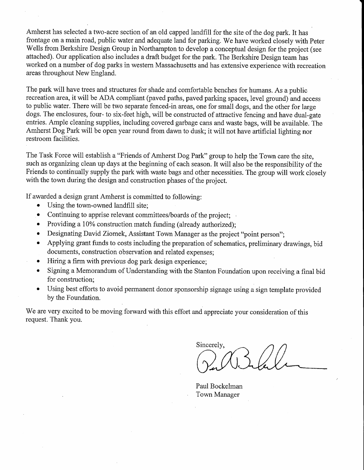Amherst has selected a two-acre section of an old capped landfill for the site of the dog park. It has frontage on a main road, public water and adequate land for parking. We have worked closely with Peter Wells from Berkshire Design Group in Northampton to develop a conceptual design for the project (see attached). Our application also includes a draft budget for the park. The Berkshire Design team has worked on a number of dog parks in western Massachusetts and has extensive experience with recreation areas throughout New England.

The park will have trees and structures for shade and comfortable benches for humans. As a public recreation area, it will be ADA compliant (paved paths, paved parking spaces, level ground) and access to public water. There will be two separate fenced-in areas, one for small dogs, and the other for large dogs. The enclosures, four- to six-feet high, will be constructed of attractive fencing and have dual-gate entries. Ample cleaning supplies, including covered garbage cans and waste bags, will be available. The Amherst Dog Park will be open year round from dawn to dusk; it will not have artificial lighting nor restroom facilities.

The Task Force will establish a "Friends of Amherst Dog Park" group to help the Town care the site, such as organizing clean up days at the beginning of each season. It will also be the responsibility of the Friends to continually supply the park with waste bags and other necessities. The group will work closely with the town during the design and construction phases of the project.

lf awarded a design grant Amherst is committed to following:

- Using the town-owned landfill site;
- Continuing to apprise relevant committees/boards of the project;
- . Providing a 10% construction match funding (already authorized);
- Designating David Ziomek, Assistant Town Manager as the project "point person";
- . Applying grant funds to costs including the preparation of schematics, preliminary drawings, bid documents, construction observation and related expenses;
- ' r Hiring a firm with previous dog park design experience;
- Signing a Memorandum of Understanding with the Stanton Foundation upon receiving a final bid for construction;
- o Using best efforts to avoid permanent donor sponsorship signage using a sign template provided by the Foundation.

We are very excited to be moving forward with this effort and appreciate your consideration of this request. Thank you.

Sincerely,

Paul Bockelman Town Manager